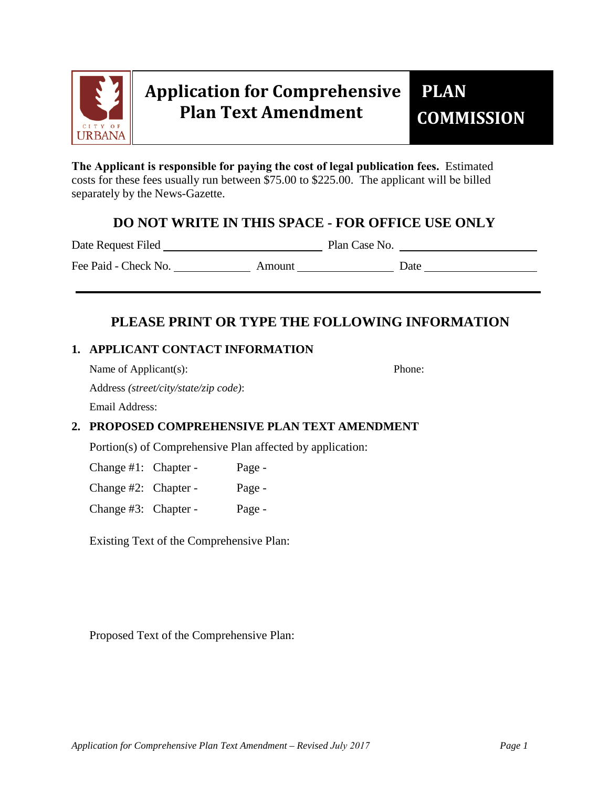

# **Application for Comprehensive Plan Text Amendment**

**The Applicant is responsible for paying the cost of legal publication fees.** Estimated costs for these fees usually run between \$75.00 to \$225.00. The applicant will be billed separately by the News-Gazette.

## **DO NOT WRITE IN THIS SPACE - FOR OFFICE USE ONLY**

Date Request Filed Plan Case No.

Fee Paid - Check No. Amount Date

# **PLEASE PRINT OR TYPE THE FOLLOWING INFORMATION**

### **1. APPLICANT CONTACT INFORMATION**

Name of Applicant(s): Phone:

Address *(street/city/state/zip code)*:

Email Address:

## **2. PROPOSED COMPREHENSIVE PLAN TEXT AMENDMENT**

Portion(s) of Comprehensive Plan affected by application:

Change #1: Chapter - Page -

Change #2: Chapter - Page -

Change #3: Chapter - Page -

Existing Text of the Comprehensive Plan:

Proposed Text of the Comprehensive Plan: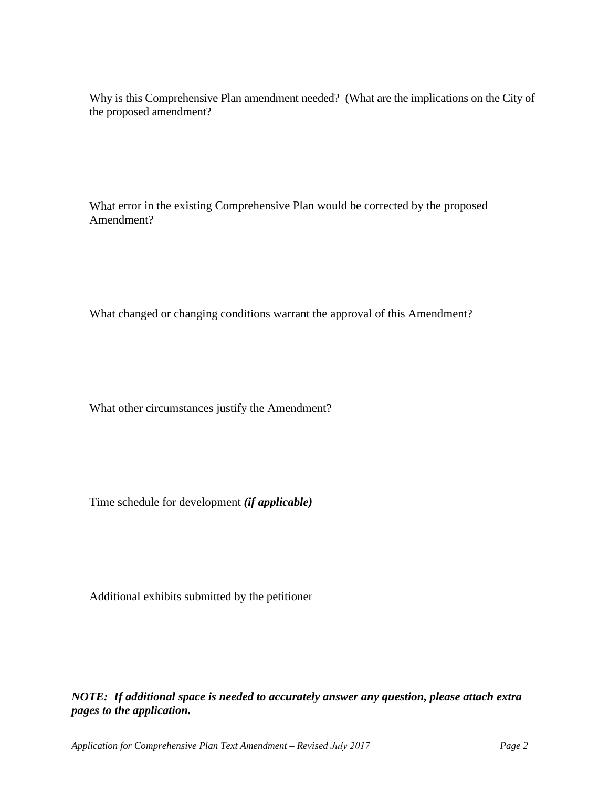Why is this Comprehensive Plan amendment needed? (What are the implications on the City of the proposed amendment?

What error in the existing Comprehensive Plan would be corrected by the proposed Amendment?

What changed or changing conditions warrant the approval of this Amendment?

What other circumstances justify the Amendment?

Time schedule for development *(if applicable)* 

Additional exhibits submitted by the petitioner

*NOTE: If additional space is needed to accurately answer any question, please attach extra pages to the application.*

*Application for Comprehensive Plan Text Amendment – Revised July 2017 Page 2*